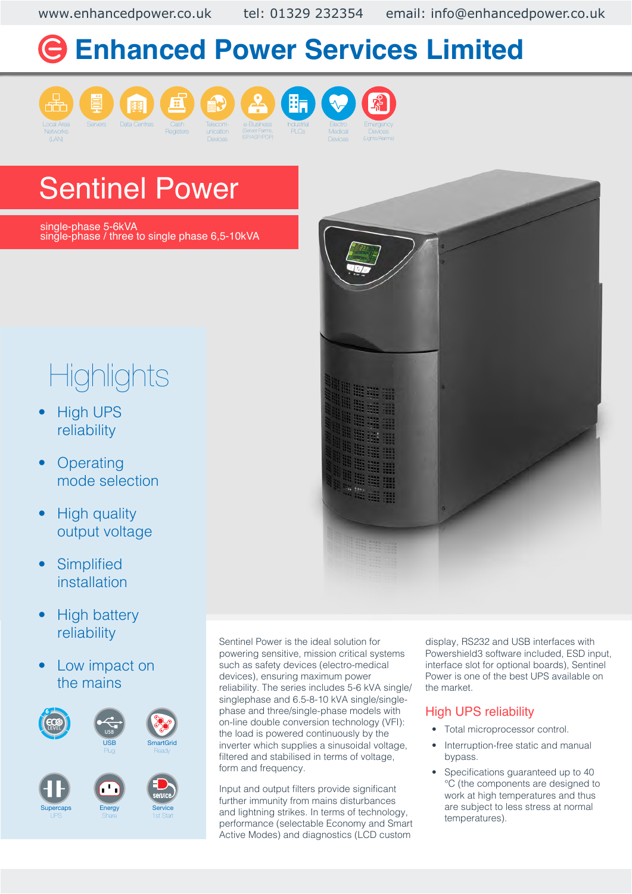www.enhancedpower.co.uk tel: 01329 232354 email: info@enhancedpower.co.uk

# **Enhanced Power Services Limited**









Devices







Sentinel Power

single-phase 5-6kVA single-phase / three to single phase 6,5-10kVA

# **Highlights**

- **High UPS** reliability
- **Operating** mode selection
- High quality output voltage
- **Simplified** installation
- High battery reliability
- Low impact on the mains



Sentinel Power is the ideal solution for powering sensitive, mission critical systems such as safety devices (electro-medical devices), ensuring maximum power reliability. The series includes 5-6 kVA single/ singlephase and 6.5-8-10 kVA single/singlephase and three/single-phase models with on-line double conversion technology (VFI): the load is powered continuously by the inverter which supplies a sinusoidal voltage, filtered and stabilised in terms of voltage, form and frequency.

Input and output filters provide significant further immunity from mains disturbances and lightning strikes. In terms of technology, performance (selectable Economy and Smart Active Modes) and diagnostics (LCD custom

display, RS232 and USB interfaces with Powershield3 software included, ESD input, interface slot for optional boards), Sentinel Power is one of the best UPS available on the market.

### High UPS reliability

- Total microprocessor control.
- Interruption-free static and manual bypass.
- Specifications guaranteed up to 40 °C (the components are designed to work at high temperatures and thus are subject to less stress at normal temperatures).

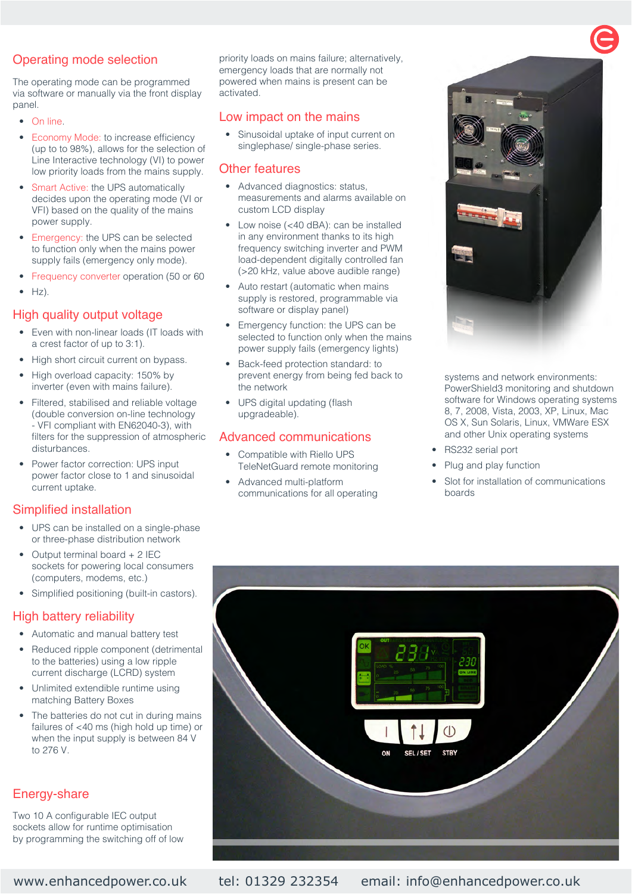#### Operating mode selection

The operating mode can be programmed via software or manually via the front display panel.

- On line.
- Economy Mode: to increase efficiency (up to to 98%), allows for the selection of Line Interactive technology (VI) to power low priority loads from the mains supply.
- Smart Active: the UPS automatically decides upon the operating mode (VI or VFI) based on the quality of the mains power supply.
- Emergency: the UPS can be selected to function only when the mains power supply fails (emergency only mode).
- Frequency converter operation (50 or 60
- $Hz$ ).

#### High quality output voltage

- Even with non-linear loads (IT loads with a crest factor of up to 3:1).
- High short circuit current on bypass.
- High overload capacity: 150% by inverter (even with mains failure).
- Filtered, stabilised and reliable voltage (double conversion on-line technology - VFI compliant with EN62040-3), with filters for the suppression of atmospheric disturbances.
- Power factor correction: UPS input power factor close to 1 and sinusoidal current uptake.

#### Simplified installation

- UPS can be installed on a single-phase or three-phase distribution network
- Output terminal board + 2 IEC sockets for powering local consumers (computers, modems, etc.)
- Simplified positioning (built-in castors).

#### High battery reliability

- Automatic and manual battery test
- Reduced ripple component (detrimental to the batteries) using a low ripple current discharge (LCRD) system
- Unlimited extendible runtime using matching Battery Boxes
- The batteries do not cut in during mains failures of <40 ms (high hold up time) or when the input supply is between 84 V to 276 V.

#### Energy-share

Two 10 A configurable IEC output sockets allow for runtime optimisation by programming the switching off of low priority loads on mains failure; alternatively, emergency loads that are normally not powered when mains is present can be activated.

#### Low impact on the mains

• Sinusoidal uptake of input current on singlephase/ single-phase series.

#### Other features

- Advanced diagnostics: status, measurements and alarms available on custom LCD display
- Low noise (<40 dBA): can be installed in any environment thanks to its high frequency switching inverter and PWM load-dependent digitally controlled fan (>20 kHz, value above audible range)
- Auto restart (automatic when mains supply is restored, programmable via software or display panel)
- Emergency function: the UPS can be selected to function only when the mains power supply fails (emergency lights)
- Back-feed protection standard: to prevent energy from being fed back to the network
- UPS digital updating (flash upgradeable).

#### Advanced communications

- Compatible with Riello UPS TeleNetGuard remote monitoring
- Advanced multi-platform communications for all operating



systems and network environments: PowerShield3 monitoring and shutdown software for Windows operating systems 8, 7, 2008, Vista, 2003, XP, Linux, Mac OS X, Sun Solaris, Linux, VMWare ESX and other Unix operating systems

- RS232 serial port
- Plug and play function
- Slot for installation of communications boards



www.enhancedpower.co.uk tel: 01329 232354 email: info@enhancedpower.co.uk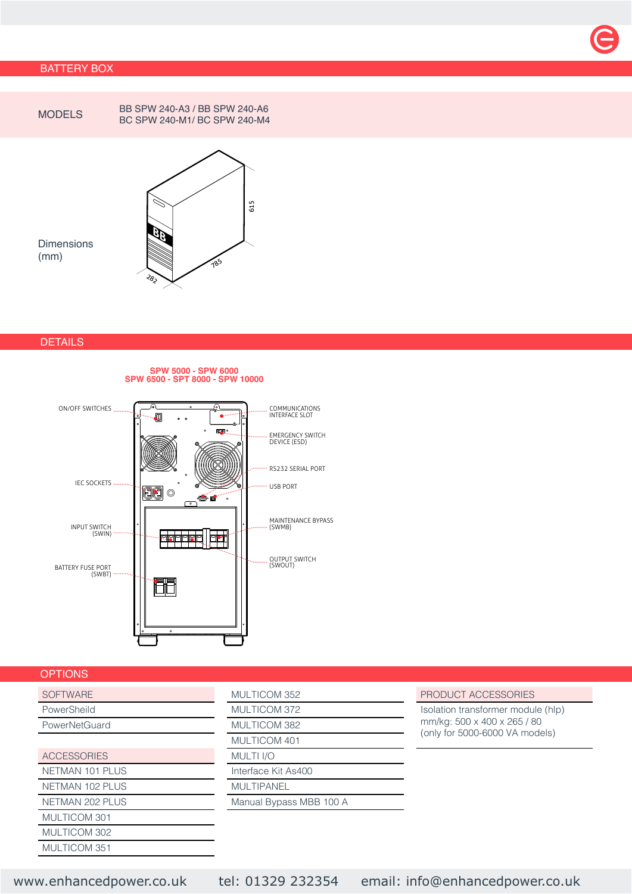#### BATTERY BOX



MODELS BB SPW 240-A3 / BB SPW 240-A6 BC SPW 240-M1/ BC SPW 240-M4



Dimensions (mm)

#### **DETAILS**

#### **SPW 5000 - SPW 6000 SPW 6500 - SPT 8000 - SPW 10000**



#### **OPTIONS**

| PowerSheild            | <b>MULTICOM 372</b>     |
|------------------------|-------------------------|
| PowerNetGuard          | MULTICOM 382            |
|                        | MULTICOM 401            |
| <b>ACCESSORIES</b>     | MULTI <sub>I/O</sub>    |
| <b>NETMAN 101 PLUS</b> | Interface Kit As400     |
| <b>NETMAN 102 PLUS</b> | <b>MULTIPANEL</b>       |
| <b>NETMAN 202 PLUS</b> | Manual Bypass MBB 100 A |
| MULTICOM 301           |                         |
| MULTICOM 302           |                         |
| MULTICOM 351           |                         |

| <b>SOFTWARE</b>    | MULTICOM 352            | PRODUCT ACCESSORIES         |
|--------------------|-------------------------|-----------------------------|
| PowerSheild        | MULTICOM 372            | Isolation transformer modul |
| PowerNetGuard      | MULTICOM 382            | mm/kg: 500 x 400 x 265 / 8  |
|                    | MULTICOM 401            | (only for 5000-6000 VA mo   |
| <b>ACCESSORIES</b> | <b>MULTI I/O</b>        |                             |
| NETMAN 101 PLUS    | Interface Kit As400     |                             |
| NETMAN 102 PLUS    | <b>MULTIPANEL</b>       |                             |
| NETMAN 202 PLUS    | Manual Bypass MBB 100 A |                             |
|                    |                         |                             |

Isolation transformer module (hlp) mm/kg: 500 x 400 x 265 / 80 (only for 5000-6000 VA models)